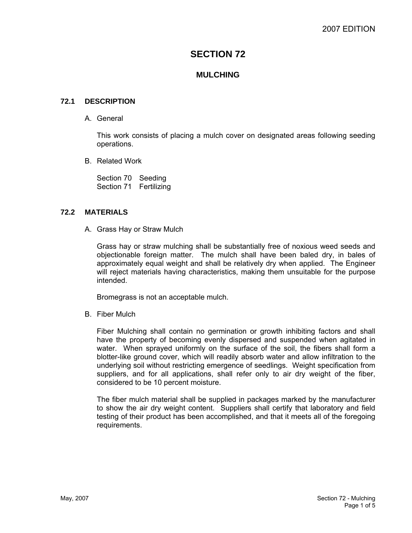# **SECTION 72**

## **MULCHING**

### **72.1 DESCRIPTION**

A. General

This work consists of placing a mulch cover on designated areas following seeding operations.

B. Related Work

Section 70 Seeding Section 71 Fertilizing

#### **72.2 MATERIALS**

A. Grass Hay or Straw Mulch

Grass hay or straw mulching shall be substantially free of noxious weed seeds and objectionable foreign matter. The mulch shall have been baled dry, in bales of approximately equal weight and shall be relatively dry when applied. The Engineer will reject materials having characteristics, making them unsuitable for the purpose intended.

Bromegrass is not an acceptable mulch.

B. Fiber Mulch

Fiber Mulching shall contain no germination or growth inhibiting factors and shall have the property of becoming evenly dispersed and suspended when agitated in water. When sprayed uniformly on the surface of the soil, the fibers shall form a blotter-like ground cover, which will readily absorb water and allow infiltration to the underlying soil without restricting emergence of seedlings. Weight specification from suppliers, and for all applications, shall refer only to air dry weight of the fiber, considered to be 10 percent moisture.

The fiber mulch material shall be supplied in packages marked by the manufacturer to show the air dry weight content. Suppliers shall certify that laboratory and field testing of their product has been accomplished, and that it meets all of the foregoing requirements.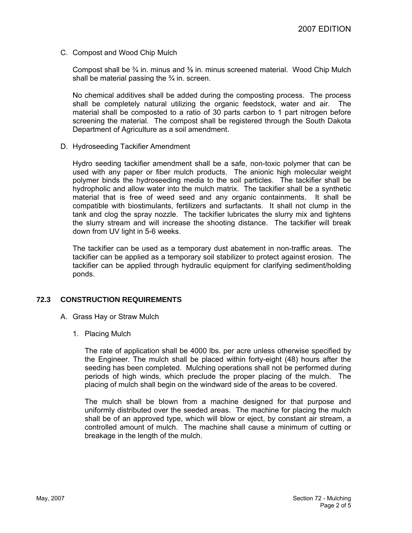C. Compost and Wood Chip Mulch

Compost shall be  $\frac{3}{4}$  in. minus and  $\frac{3}{8}$  in. minus screened material. Wood Chip Mulch shall be material passing the  $\frac{3}{4}$  in. screen.

No chemical additives shall be added during the composting process. The process shall be completely natural utilizing the organic feedstock, water and air. The material shall be composted to a ratio of 30 parts carbon to 1 part nitrogen before screening the material. The compost shall be registered through the South Dakota Department of Agriculture as a soil amendment.

D. Hydroseeding Tackifier Amendment

Hydro seeding tackifier amendment shall be a safe, non-toxic polymer that can be used with any paper or fiber mulch products. The anionic high molecular weight polymer binds the hydroseeding media to the soil particles. The tackifier shall be hydropholic and allow water into the mulch matrix. The tackifier shall be a synthetic material that is free of weed seed and any organic containments. It shall be compatible with biostimulants, fertilizers and surfactants. It shall not clump in the tank and clog the spray nozzle. The tackifier lubricates the slurry mix and tightens the slurry stream and will increase the shooting distance. The tackifier will break down from UV light in 5-6 weeks.

The tackifier can be used as a temporary dust abatement in non-traffic areas. The tackifier can be applied as a temporary soil stabilizer to protect against erosion. The tackifier can be applied through hydraulic equipment for clarifying sediment/holding ponds.

### **72.3 CONSTRUCTION REQUIREMENTS**

- A. Grass Hay or Straw Mulch
	- 1. Placing Mulch

The rate of application shall be 4000 lbs. per acre unless otherwise specified by the Engineer. The mulch shall be placed within forty-eight (48) hours after the seeding has been completed. Mulching operations shall not be performed during periods of high winds, which preclude the proper placing of the mulch. The placing of mulch shall begin on the windward side of the areas to be covered.

The mulch shall be blown from a machine designed for that purpose and uniformly distributed over the seeded areas. The machine for placing the mulch shall be of an approved type, which will blow or eject, by constant air stream, a controlled amount of mulch. The machine shall cause a minimum of cutting or breakage in the length of the mulch.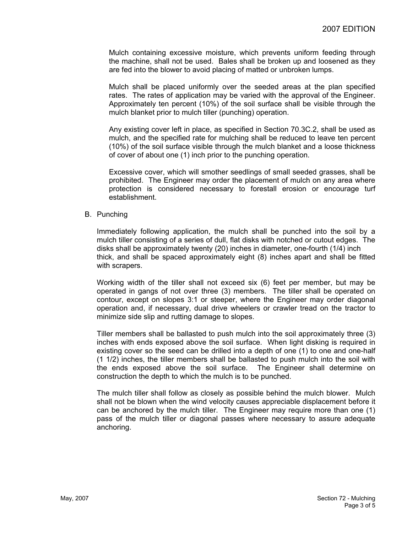Mulch containing excessive moisture, which prevents uniform feeding through the machine, shall not be used. Bales shall be broken up and loosened as they are fed into the blower to avoid placing of matted or unbroken lumps.

Mulch shall be placed uniformly over the seeded areas at the plan specified rates. The rates of application may be varied with the approval of the Engineer. Approximately ten percent (10%) of the soil surface shall be visible through the mulch blanket prior to mulch tiller (punching) operation.

Any existing cover left in place, as specified in Section 70.3C.2, shall be used as mulch, and the specified rate for mulching shall be reduced to leave ten percent (10%) of the soil surface visible through the mulch blanket and a loose thickness of cover of about one (1) inch prior to the punching operation.

Excessive cover, which will smother seedlings of small seeded grasses, shall be prohibited. The Engineer may order the placement of mulch on any area where protection is considered necessary to forestall erosion or encourage turf establishment.

#### B. Punching

Immediately following application, the mulch shall be punched into the soil by a mulch tiller consisting of a series of dull, flat disks with notched or cutout edges. The disks shall be approximately twenty (20) inches in diameter, one-fourth (1/4) inch thick, and shall be spaced approximately eight (8) inches apart and shall be fitted with scrapers.

Working width of the tiller shall not exceed six (6) feet per member, but may be operated in gangs of not over three (3) members. The tiller shall be operated on contour, except on slopes 3:1 or steeper, where the Engineer may order diagonal operation and, if necessary, dual drive wheelers or crawler tread on the tractor to minimize side slip and rutting damage to slopes.

Tiller members shall be ballasted to push mulch into the soil approximately three (3) inches with ends exposed above the soil surface. When light disking is required in existing cover so the seed can be drilled into a depth of one (1) to one and one-half (1 1/2) inches, the tiller members shall be ballasted to push mulch into the soil with the ends exposed above the soil surface. The Engineer shall determine on construction the depth to which the mulch is to be punched.

The mulch tiller shall follow as closely as possible behind the mulch blower. Mulch shall not be blown when the wind velocity causes appreciable displacement before it can be anchored by the mulch tiller. The Engineer may require more than one (1) pass of the mulch tiller or diagonal passes where necessary to assure adequate anchoring.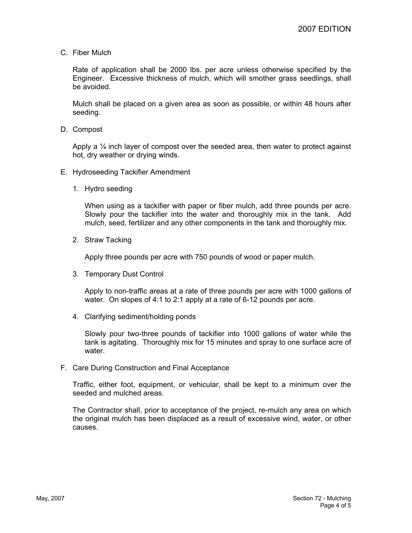C. Fiber Mulch

Rate of application shall be 2000 lbs. per acre unless otherwise specified by the Engineer. Excessive thickness of mulch, which will smother grass seedlings, shall be avoided.

Mulch shall be placed on a given area as soon as possible, or within 48 hours after seeding.

D. Compost

Apply a  $\frac{1}{4}$  inch layer of compost over the seeded area, then water to protect against hot, dry weather or drying winds.

- E. Hydroseeding Tackifier Amendment
	- 1. Hydro seeding

When using as a tackifier with paper or fiber mulch, add three pounds per acre. Slowly pour the tackifier into the water and thoroughly mix in the tank. Add mulch, seed, fertilizer and any other components in the tank and thoroughly mix.

2. Straw Tacking

Apply three pounds per acre with 750 pounds of wood or paper mulch.

3. Temporary Dust Control

Apply to non-traffic areas at a rate of three pounds per acre with 1000 gallons of water. On slopes of 4:1 to 2:1 apply at a rate of 6-12 pounds per acre.

4. Clarifying sediment/holding ponds

Slowly pour two-three pounds of tackifier into 1000 gallons of water while the tank is agitating. Thoroughly mix for 15 minutes and spray to one surface acre of water.

F. Care During Construction and Final Acceptance

Traffic, either foot, equipment, or vehicular, shall be kept to a minimum over the seeded and mulched areas.

The Contractor shall, prior to acceptance of the project, re-mulch any area on which the original mulch has been displaced as a result of excessive wind, water, or other causes.